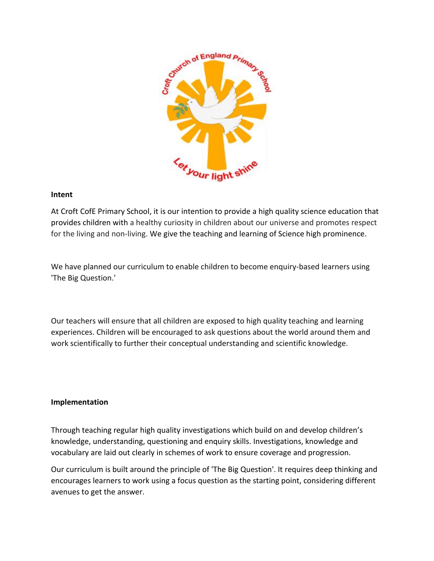

## **Intent**

At Croft CofE Primary School, it is our intention to provide a high quality science education that provides children with a healthy curiosity in children about our universe and promotes respect for the living and non-living. We give the teaching and learning of Science high prominence.

We have planned our curriculum to enable children to become enquiry-based learners using 'The Big Question.'

Our teachers will ensure that all children are exposed to high quality teaching and learning experiences. Children will be encouraged to ask questions about the world around them and work scientifically to further their conceptual understanding and scientific knowledge.

## **Implementation**

Through teaching regular high quality investigations which build on and develop children's knowledge, understanding, questioning and enquiry skills. Investigations, knowledge and vocabulary are laid out clearly in schemes of work to ensure coverage and progression.

Our curriculum is built around the principle of 'The Big Question'. It requires deep thinking and encourages learners to work using a focus question as the starting point, considering different avenues to get the answer.